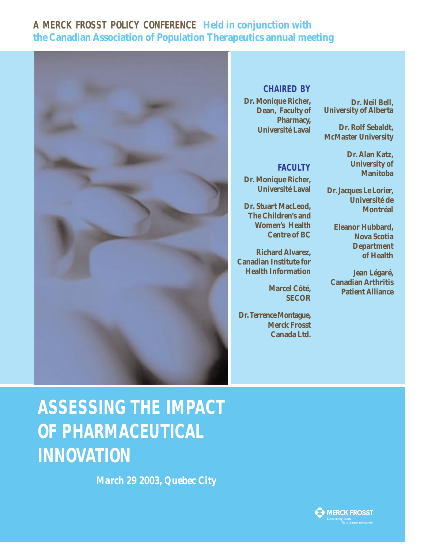### **A MERCK FROSST POLICY CONFERENCE Held in conjunction with the Canadian Association of Population Therapeutics annual meeting**



#### **CHAIRED BY**

**Dr. Monique Richer, Dean, Faculty of Pharmacy, Université Laval**

**Dr. Neil Bell, University of Alberta**

**Dr. Rolf Sebaldt, McMaster University**

**FACULTY**

**Dr. Monique Richer, Université Laval**

**Dr. Stuart MacLeod, The Children's and Women's Health Centre of BC**

**Richard Alvarez, Canadian Institute for Health Information**

> **Marcel Côté, SECOR**

**Dr. Terrence Montague, Merck Frosst Canada Ltd.** **Dr. Alan Katz, University of**

**Manitoba**

**Dr. Jacques Le Lorier, Université de Montréal**

> **Eleanor Hubbard, Nova Scotia Department of Health**

**Jean Légaré, Canadian Arthritis Patient Alliance**

# **ASSESSING THE IMPACT OF PHARMACEUTICAL INNOVATION**

*March 29 2003, Quebec City*

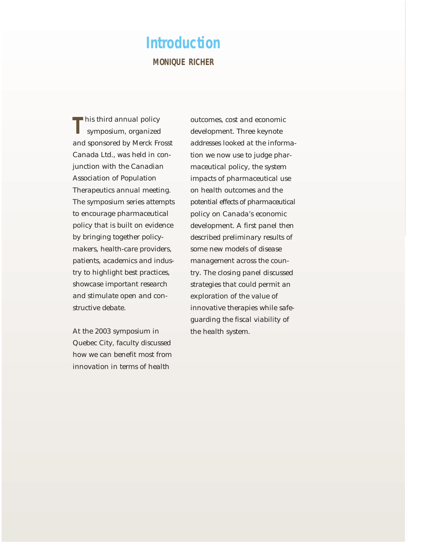## **Introduction MONIQUE RICHER**

This third annual policy symposium, organized and sponsored by Merck Frosst Canada Ltd., was held in conjunction with the Canadian Association of Population Therapeutics annual meeting. The symposium series attempts to encourage pharmaceutical policy that is built on evidence by bringing together policymakers, health-care providers, patients, academics and industry to highlight best practices, showcase important research and stimulate open and constructive debate.

At the 2003 symposium in Quebec City, faculty discussed how we can benefit most from innovation in terms of health

outcomes, cost and economic development. Three keynote addresses looked at the information we now use to judge pharmaceutical policy, the system impacts of pharmaceutical use on health outcomes and the potential effects of pharmaceutical policy on Canada's economic development. A first panel then described preliminary results of some new models of disease management across the country. The closing panel discussed strategies that could permit an exploration of the value of innovative therapies while safeguarding the fiscal viability of the health system.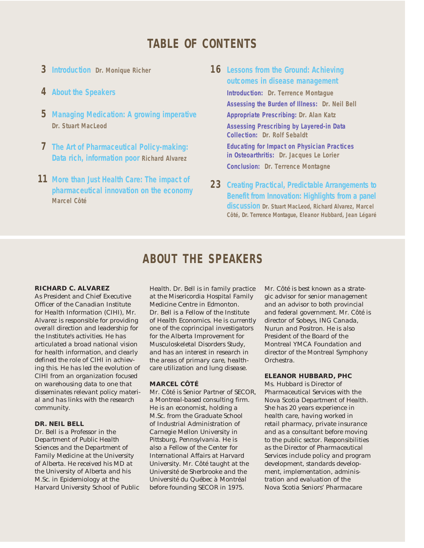## **TABLE OF CONTENTS**

- **3 Introduction Dr. Monique Richer**
- **4 About the Speakers**
- **5 Managing Medication: A growing imperative Dr. Stuart MacLeod**
- **7 The Art of Pharmaceutical Policy-making: Data rich, information poor Richard Alvarez**
- **11 More than Just Health Care: The impact of pharmaceutical innovation on the economy Marcel Côté**

**16 Lessons from the Ground: Achieving outcomes in disease management**

> **Introduction: Dr. Terrence Montague Assessing the Burden of Illness: Dr. Neil Bell Appropriate Prescribing: Dr. Alan Katz Assessing Prescribing by Layered-in Data Collection: Dr. Rolf Sebaldt**

**Educating for Impact on Physician Practices in Osteoarthritis: Dr. Jacques Le Lorier Conclusion: Dr. Terrence Montagne**

**23 Creating Practical, Predictable Arrangements to Benefit from Innovation: Highlights from a panel discussion Dr. Stuart MacLeod, Richard Alvarez, Marcel Côté, Dr. Terrence Montague, Eleanor Hubbard, Jean Légaré**

## **ABOUT THE SPEAKERS**

#### **RICHARD C. ALVAREZ**

As President and Chief Executive Officer of the Canadian Institute for Health Information (CIHI), Mr. Alvarez is responsible for providing overall direction and leadership for the Institute's activities. He has articulated a broad national vision for health information, and clearly defined the role of CIHI in achieving this. He has led the evolution of CIHI from an organization focused on warehousing data to one that disseminates relevant policy material and has links with the research community.

#### **DR. NEIL BELL**

Dr. Bell is a Professor in the Department of Public Health Sciences and the Department of Family Medicine at the University of Alberta. He received his MD at the University of Alberta and his M.Sc. in Epidemiology at the Harvard University School of Public

Health. Dr. Bell is in family practice at the Misericordia Hospital Family Medicine Centre in Edmonton. Dr. Bell is a Fellow of the Institute of Health Economics. He is currently one of the coprincipal investigators for the Alberta Improvement for Musculoskeletal Disorders Study, and has an interest in research in the areas of primary care, healthcare utilization and lung disease.

#### **MARCEL CÔTÉ**

Mr. Côté is Senior Partner of SECOR, a Montreal-based consulting firm. He is an economist, holding a M.Sc. from the Graduate School of Industrial Administration of Carnegie Mellon University in Pittsburg, Pennsylvania. He is also a Fellow of the Center for International Affairs at Harvard University. Mr. Côté taught at the Université de Sherbrooke and the Université du Québec à Montréal before founding SECOR in 1975.

Mr. Côté is best known as a strategic advisor for senior management and an advisor to both provincial and federal government. Mr. Côté is director of Sobeys, ING Canada, Nurun and Positron. He is also President of the Board of the Montreal YMCA Foundation and director of the Montreal Symphony Orchestra.

#### **ELEANOR HUBBARD, PHC**

Ms. Hubbard is Director of Pharmaceutical Services with the Nova Scotia Department of Health. She has 20 years experience in health care, having worked in retail pharmacy, private insurance and as a consultant before moving to the public sector. Responsibilities as the Director of Pharmaceutical Services include policy and program development, standards development, implementation, administration and evaluation of the Nova Scotia Seniors' Pharmacare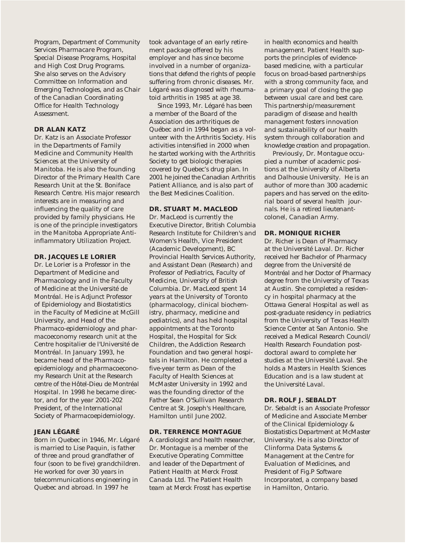Program, Department of Community Services Pharmacare Program, Special Disease Programs, Hospital and High Cost Drug Programs. She also serves on the Advisory Committee on Information and Emerging Technologies, and as Chair of the Canadian Coordinating Office for Health Technology Assessment.

#### **DR ALAN KATZ**

Dr. Katz is an Associate Professor in the Departments of Family Medicine and Community Health Sciences at the University of Manitoba. He is also the founding Director of the Primary Health Care Research Unit at the St. Boniface Research Centre. His major research interests are in measuring and influencing the quality of care provided by family physicians. He is one of the principle investigators in the Manitoba Appropriate Antiinflammatory Utilization Project.

#### **DR. JACQUES LE LORIER**

Dr. Le Lorier is a Professor in the Department of Medicine and Pharmacology and in the Faculty of Medicine at the Université de Montréal. He is Adjunct Professor of Epidemiology and Biostatistics in the Faculty of Medicine at McGill University, and Head of the Pharmaco-epidemiology and pharmacoeconomy research unit at the Centre hospitalier de l'Université de Montréal. In January 1993, he became head of the Pharmacoepidemiology and pharmacoeconomy Research Unit at the Research centre of the Hôtel-Dieu de Montréal Hospital. In 1998 he became director, and for the year 2001-202 President, of the International Society of Pharmacoepidemiology.

#### **JEAN LÉGARÉ**

Born in Quebec in 1946, Mr. Légaré is married to Lise Paquin, is father of three and proud grandfather of four (soon to be five) grandchildren. He worked for over 30 years in telecommunications engineering in Quebec and abroad. In 1997 he

took advantage of an early retirement package offered by his employer and has since become involved in a number of organizations that defend the rights of people suffering from chronic diseases. Mr. Légaré was diagnosed with rheumatoid arthritis in 1985 at age 38.

Since 1993, Mr. Légaré has been a member of the Board of the Association des arthritiques de Québec and in 1994 began as a volunteer with the Arthritis Society. His activities intensified in 2000 when he started working with the Arthritis Society to get biologic therapies covered by Quebec's drug plan. In 2001 he joined the Canadian Arthritis Patient Alliance, and is also part of the Best Medicines Coalition.

#### **DR. STUART M. MACLEOD**

Dr. MacLeod is currently the Executive Director, British Columbia Research Institute for Children's and Women's Health, Vice President (Academic Development), BC Provincial Health Services Authority, and Assistant Dean (Research) and Professor of Pediatrics, Faculty of Medicine, University of British Columbia. Dr. MacLeod spent 14 years at the University of Toronto (pharmacology, clinical biochemistry, pharmacy, medicine and pediatrics), and has held hospital appointments at the Toronto Hospital, the Hospital for Sick Children, the Addiction Research Foundation and two general hospitals in Hamilton. He completed a five-year term as Dean of the Faculty of Health Sciences at McMaster University in 1992 and was the founding director of the Father Sean O'Sullivan Research Centre at St. Joseph's Healthcare, Hamilton until June 2002.

#### **DR. TERRENCE MONTAGUE**

A cardiologist and health researcher, Dr. Montague is a member of the Executive Operating Committee and leader of the Department of Patient Health at Merck Frosst Canada Ltd. The Patient Health team at Merck Frosst has expertise

in health economics and health management. Patient Health supports the principles of evidencebased medicine, with a particular focus on broad-based partnerships with a strong community face, and a primary goal of closing the gap between usual care and best care. This partnership/measurement paradigm of disease and health management fosters innovation and sustainability of our health system through collaboration and knowledge creation and propagation.

Previously, Dr. Montague occupied a number of academic positions at the University of Alberta and Dalhousie University. He is an author of more than 300 academic papers and has served on the editorial board of several health journals. He is a retired lieutenantcolonel, Canadian Army.

#### **DR. MONIQUE RICHER**

Dr. Richer is Dean of Pharmacy at the Université Laval. Dr. Richer received her Bachelor of Pharmacy degree from the Université de Montréal and her Doctor of Pharmacy degree from the University of Texas at Austin. She completed a residency in hospital pharmacy at the Ottawa General Hospital as well as post-graduate residency in pediatrics from the University of Texas Health Science Center at San Antonio. She received a Medical Research Council/ Health Research Foundation postdoctoral award to complete her studies at the Université Laval. She holds a Masters in Health Sciences Education and is a law student at the Université Laval.

#### **DR. ROLF J. SEBALDT**

Dr. Sebaldt is an Associate Professor of Medicine and Associate Member of the Clinical Epidemiology & Biostatistics Department at McMaster University. He is also Director of Clinforma Data Systems & Management at the Centre for Evaluation of Medicines, and President of Fig.P Software Incorporated, a company based in Hamilton, Ontario.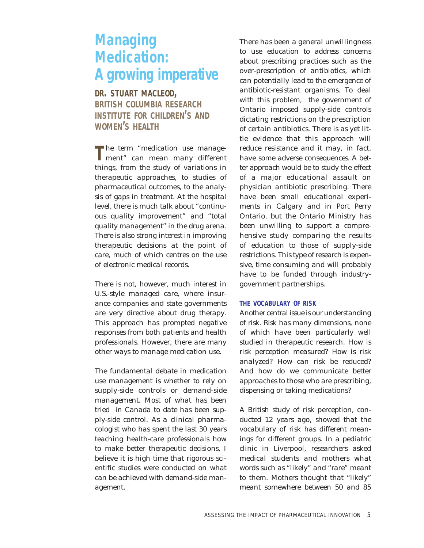## **Managing Medication: A growing imperative**

**DR. STUART MACLEOD, BRITISH COLUMBIA RESEARCH INSTITUTE FOR CHILDREN'S AND WOMEN'S HEALTH**

**T**he term "medication use management" can mean many different things, from the study of variations in therapeutic approaches, to studies of pharmaceutical outcomes, to the analysis of gaps in treatment. At the hospital level, there is much talk about "continuous quality improvement" and "total quality management" in the drug arena. There is also strong interest in improving therapeutic decisions at the point of care, much of which centres on the use of electronic medical records.

There is not, however, much interest in U.S.-style managed care, where insurance companies and state governments are very directive about drug therapy. This approach has prompted negative responses from both patients and health professionals. However, there are many other ways to manage medication use.

The fundamental debate in medication use management is whether to rely on supply-side controls or demand-side management. Most of what has been tried in Canada to date has been supply-side control. As a clinical pharmacologist who has spent the last 30 years teaching health-care professionals how to make better therapeutic decisions, I believe it is high time that rigorous scientific studies were conducted on what can be achieved with demand-side management.

There has been a general unwillingness to use education to address concerns about prescribing practices such as the over-prescription of antibiotics, which can potentially lead to the emergence of antibiotic-resistant organisms. To deal with this problem, the government of Ontario imposed supply-side controls dictating restrictions on the prescription of certain antibiotics. There is as yet little evidence that this approach will reduce resistance and it may, in fact, have some adverse consequences. A better approach would be to study the effect of a major educational assault on physician antibiotic prescribing. There have been small educational experiments in Calgary and in Port Perry Ontario, but the Ontario Ministry has been unwilling to support a comprehensive study comparing the results of education to those of supply-side restrictions. This type of research is expensive, time consuming and will probably have to be funded through industrygovernment partnerships.

#### **THE VOCABULARY OF RISK**

Another central issue is our understanding of risk. Risk has many dimensions, none of which have been particularly well studied in therapeutic research. How is risk perception measured? How is risk analyzed? How can risk be reduced? And how do we communicate better approaches to those who are prescribing, dispensing or taking medications?

A British study of risk perception, conducted 12 years ago, showed that the vocabulary of risk has different meanings for different groups. In a pediatric clinic in Liverpool, researchers asked medical students and mothers what words such as "likely" and "rare" meant to them. Mothers thought that "likely" meant somewhere between 50 and 85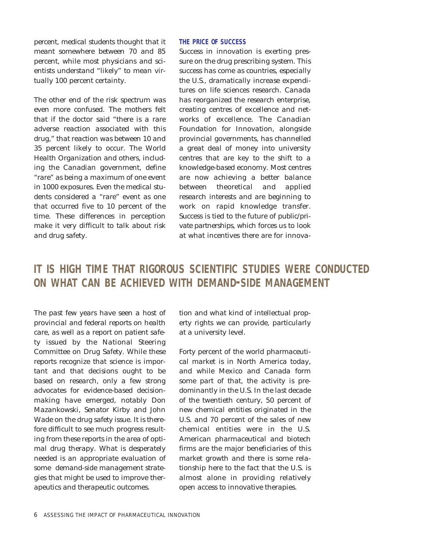percent, medical students thought that it meant somewhere between 70 and 85 percent, while most physicians and scientists understand "likely" to mean virtually 100 percent certainty.

The other end of the risk spectrum was even more confused. The mothers felt that if the doctor said "there is a rare adverse reaction associated with this drug," that reaction was between 10 and 35 percent likely to occur. The World Health Organization and others, including the Canadian government, define "rare" as being a maximum of one event in 1000 exposures. Even the medical students considered a "rare" event as one that occurred five to 10 percent of the time. These differences in perception make it very difficult to talk about risk and drug safety.

#### **THE PRICE OF SUCCESS**

Success in innovation is exerting pressure on the drug prescribing system. This success has come as countries, especially the U.S., dramatically increase expenditures on life sciences research. Canada has reorganized the research enterprise, creating centres of excellence and networks of excellence. The Canadian Foundation for Innovation, alongside provincial governments, has channelled a great deal of money into university centres that are key to the shift to a knowledge-based economy. Most centres are now achieving a better balance between theoretical and applied research interests and are beginning to work on rapid knowledge transfer. Success is tied to the future of public/private partnerships, which forces us to look at what incentives there are for innova-

## **IT IS HIGH TIME THAT RIGOROUS SCIENTIFIC STUDIES WERE CONDUCTED ON WHAT CAN BE ACHIEVED WITH DEMAND-SIDE MANAGEMENT**

The past few years have seen a host of provincial and federal reports on health care, as well as a report on patient safety issued by the National Steering Committee on Drug Safety. While these reports recognize that science is important and that decisions ought to be based on research, only a few strong advocates for evidence-based decisionmaking have emerged, notably Don Mazankowski, Senator Kirby and John Wade on the drug safety issue. It is therefore difficult to see much progress resulting from these reports in the area of optimal drug therapy. What is desperately needed is an appropriate evaluation of some demand-side management strategies that might be used to improve therapeutics and therapeutic outcomes.

tion and what kind of intellectual property rights we can provide, particularly at a university level.

Forty percent of the world pharmaceutical market is in North America today, and while Mexico and Canada form some part of that, the activity is predominantly in the U.S. In the last decade of the twentieth century, 50 percent of new chemical entities originated in the U.S. and 70 percent of the sales of new chemical entities were in the U.S. American pharmaceutical and biotech firms are the major beneficiaries of this market growth and there is some relationship here to the fact that the U.S. is almost alone in providing relatively open access to innovative therapies.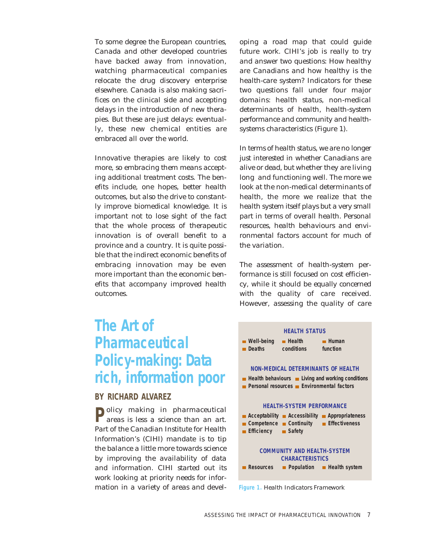To some degree the European countries, Canada and other developed countries have backed away from innovation, watching pharmaceutical companies relocate the drug discovery enterprise elsewhere. Canada is also making sacrifices on the clinical side and accepting delays in the introduction of new therapies. But these are just delays: eventually, these new chemical entities are embraced all over the world.

Innovative therapies are likely to cost more, so embracing them means accepting additional treatment costs. The benefits include, one hopes, better health outcomes, but also the drive to constantly improve biomedical knowledge. It is important not to lose sight of the fact that the whole process of therapeutic innovation is of overall benefit to a province and a country. It is quite possible that the indirect economic benefits of embracing innovation may be even more important than the economic benefits that accompany improved health outcomes.

## **The Art of Pharmaceutical Policy-making: Data rich, information poor**

#### **BY RICHARD ALVAREZ**

**Policy making in pharmaceutical** areas is less a science than an art. Part of the Canadian Institute for Health Information's (CIHI) mandate is to tip the balance a little more towards science by improving the availability of data and information. CIHI started out its work looking at priority needs for information in a variety of areas and developing a road map that could guide future work. CIHI's job is really to try and answer two questions: How healthy are Canadians and how healthy is the health-care system? Indicators for these two questions fall under four major domains: health status, non-medical determinants of health, health-system performance and community and healthsystems characteristics (Figure 1).

In terms of health status, we are no longer just interested in whether Canadians are alive or dead, but whether they are living long and functioning well. The more we look at the non-medical determinants of health, the more we realize that the health system itself plays but a very small part in terms of overall health. Personal resources, health behaviours and environmental factors account for much of the variation.

The assessment of health-system performance is still focused on cost efficiency, while it should be equally concerned with the quality of care received. However, assessing the quality of care



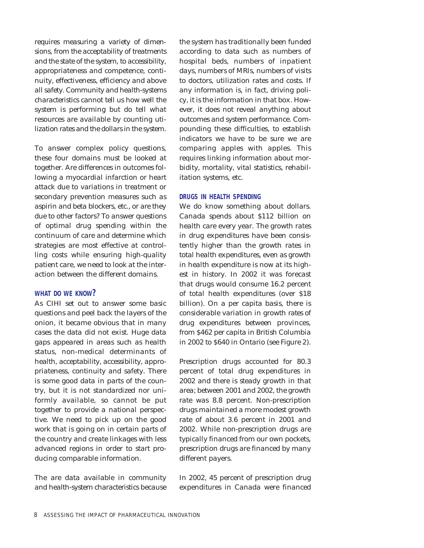requires measuring a variety of dimensions, from the acceptability of treatments and the state of the system, to accessibility, appropriateness and competence, continuity, effectiveness, efficiency and above all safety. Community and health-systems characteristics cannot tell us how well the system is performing but do tell what resources are available by counting utilization rates and the dollars in the system.

To answer complex policy questions, these four domains must be looked at together. Are differences in outcomes following a myocardial infarction or heart attack due to variations in treatment or secondary prevention measures such as aspirin and beta blockers, etc., or are they due to other factors? To answer questions of optimal drug spending within the continuum of care and determine which strategies are most effective at controlling costs while ensuring high-quality patient care, we need to look at the interaction between the different domains.

#### **WHAT DO WE KNOW?**

As CIHI set out to answer some basic questions and peel back the layers of the onion, it became obvious that in many cases the data did not exist. Huge data gaps appeared in areas such as health status, non-medical determinants of health, acceptability, accessibility, appropriateness, continuity and safety. There is some good data in parts of the country, but it is not standardized nor uniformly available, so cannot be put together to provide a national perspective. We need to pick up on the good work that is going on in certain parts of the country and create linkages with less advanced regions in order to start producing comparable information.

The are data available in community and health-system characteristics because

the system has traditionally been funded according to data such as numbers of hospital beds, numbers of inpatient days, numbers of MRIs, numbers of visits to doctors, utilization rates and costs. If any information is, in fact, driving policy, it is the information in that box. However, it does not reveal anything about outcomes and system performance. Compounding these difficulties, to establish indicators we have to be sure we are comparing apples with apples. This requires linking information about morbidity, mortality, vital statistics, rehabilitation systems, etc.

#### **DRUGS IN HEALTH SPENDING**

We do know something about dollars. Canada spends about \$112 billion on health care every year. The growth rates in drug expenditures have been consistently higher than the growth rates in total health expenditures, even as growth in health expenditure is now at its highest in history. In 2002 it was forecast that drugs would consume 16.2 percent of total health expenditures (over \$18 billion). On a per capita basis, there is considerable variation in growth rates of drug expenditures between provinces, from \$462 per capita in British Columbia in 2002 to \$640 in Ontario (see Figure 2).

Prescription drugs accounted for 80.3 percent of total drug expenditures in 2002 and there is steady growth in that area; between 2001 and 2002, the growth rate was 8.8 percent. Non-prescription drugs maintained a more modest growth rate of about 3.6 percent in 2001 and 2002. While non-prescription drugs are typically financed from our own pockets, prescription drugs are financed by many different payers.

In 2002, 45 percent of prescription drug expenditures in Canada were financed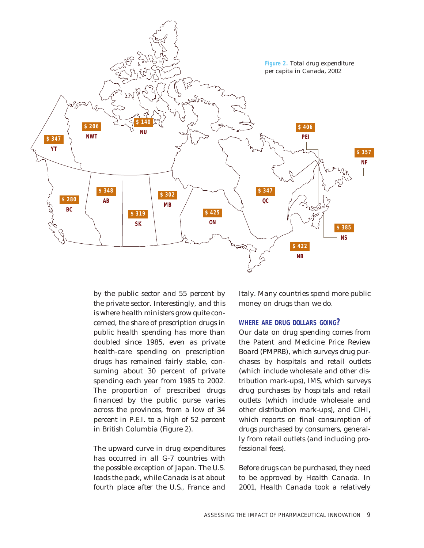

by the public sector and 55 percent by the private sector. Interestingly, and this is where health ministers grow quite concerned, the share of prescription drugs in public health spending has more than doubled since 1985, even as private health-care spending on prescription drugs has remained fairly stable, consuming about 30 percent of private spending each year from 1985 to 2002. The proportion of prescribed drugs financed by the public purse varies across the provinces, from a low of 34 percent in P.E.I. to a high of 52 percent in British Columbia (Figure 2).

The upward curve in drug expenditures has occurred in all G-7 countries with the possible exception of Japan. The U.S. leads the pack, while Canada is at about fourth place after the U.S., France and Italy. Many countries spend more public money on drugs than we do.

#### **WHERE ARE DRUG DOLLARS GOING?**

Our data on drug spending comes from the Patent and Medicine Price Review Board (PMPRB), which surveys drug purchases by hospitals and retail outlets (which include wholesale and other distribution mark-ups), IMS, which surveys drug purchases by hospitals and retail outlets (which include wholesale and other distribution mark-ups), and CIHI, which reports on final consumption of drugs purchased by consumers, generally from retail outlets (and including professional fees).

Before drugs can be purchased, they need to be approved by Health Canada. In 2001, Health Canada took a relatively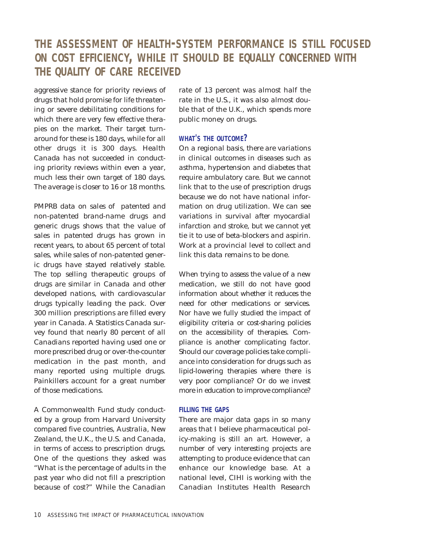## **THE ASSESSMENT OF HEALTH-SYSTEM PERFORMANCE IS STILL FOCUSED ON COST EFFICIENCY, WHILE IT SHOULD BE EQUALLY CONCERNED WITH THE QUALITY OF CARE RECEIVED**

aggressive stance for priority reviews of drugs that hold promise for life threatening or severe debilitating conditions for which there are very few effective therapies on the market. Their target turnaround for these is 180 days, while for all other drugs it is 300 days. Health Canada has not succeeded in conducting priority reviews within even a year, much less their own target of 180 days. The average is closer to 16 or 18 months.

PMPRB data on sales of patented and non-patented brand-name drugs and generic drugs shows that the value of sales in patented drugs has grown in recent years, to about 65 percent of total sales, while sales of non-patented generic drugs have stayed relatively stable. The top selling therapeutic groups of drugs are similar in Canada and other developed nations, with cardiovascular drugs typically leading the pack. Over 300 million prescriptions are filled every year in Canada. A Statistics Canada survey found that nearly 80 percent of all Canadians reported having used one or more prescribed drug or over-the-counter medication in the past month, and many reported using multiple drugs. Painkillers account for a great number of those medications.

A Commonwealth Fund study conducted by a group from Harvard University compared five countries, Australia, New Zealand, the U.K., the U.S. and Canada, in terms of access to prescription drugs. One of the questions they asked was "What is the percentage of adults in the past year who did not fill a prescription because of cost?" While the Canadian rate of 13 percent was almost half the rate in the U.S., it was also almost double that of the U.K., which spends more public money on drugs.

#### **WHAT'S THE OUTCOME?**

On a regional basis, there are variations in clinical outcomes in diseases such as asthma, hypertension and diabetes that require ambulatory care. But we cannot link that to the use of prescription drugs because we do not have national information on drug utilization. We can see variations in survival after myocardial infarction and stroke, but we cannot yet tie it to use of beta-blockers and aspirin. Work at a provincial level to collect and link this data remains to be done.

When trying to assess the value of a new medication, we still do not have good information about whether it reduces the need for other medications or services. Nor have we fully studied the impact of eligibility criteria or cost-sharing policies on the accessibility of therapies. Compliance is another complicating factor. Should our coverage policies take compliance into consideration for drugs such as lipid-lowering therapies where there is very poor compliance? Or do we invest more in education to improve compliance?

#### **FILLING THE GAPS**

There are major data gaps in so many areas that I believe pharmaceutical policy-making is still an art. However, a number of very interesting projects are attempting to produce evidence that can enhance our knowledge base. At a national level, CIHI is working with the Canadian Institutes Health Research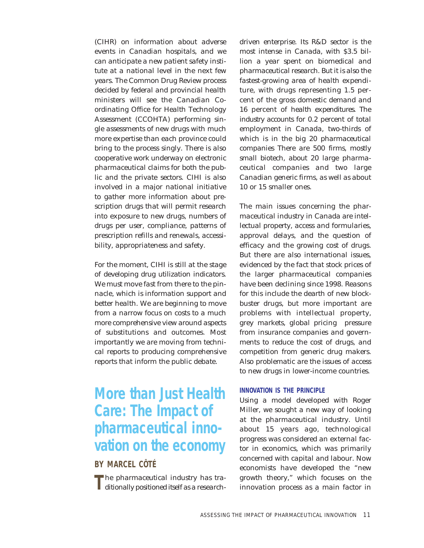(CIHR) on information about adverse events in Canadian hospitals, and we can anticipate a new patient safety institute at a national level in the next few years. The Common Drug Review process decided by federal and provincial health ministers will see the Canadian Coordinating Office for Health Technology Assessment (CCOHTA) performing single assessments of new drugs with much more expertise than each province could bring to the process singly. There is also cooperative work underway on electronic pharmaceutical claims for both the public and the private sectors. CIHI is also involved in a major national initiative to gather more information about prescription drugs that will permit research into exposure to new drugs, numbers of drugs per user, compliance, patterns of prescription refills and renewals, accessibility, appropriateness and safety.

For the moment, CIHI is still at the stage of developing drug utilization indicators. We must move fast from there to the pinnacle, which is information support and better health. We are beginning to move from a narrow focus on costs to a much more comprehensive view around aspects of substitutions and outcomes. Most importantly we are moving from technical reports to producing comprehensive reports that inform the public debate.

## **More than Just Health Care: The Impact of pharmaceutical innovation on the economy**

#### **BY MARCEL CÔTÉ**

The pharmaceutical industry has tra-<br>ditionally positioned itself as a research-

driven enterprise. Its R&D sector is the most intense in Canada, with \$3.5 billion a year spent on biomedical and pharmaceutical research. But it is also the fastest-growing area of health expenditure, with drugs representing 1.5 percent of the gross domestic demand and 16 percent of health expenditures. The industry accounts for 0.2 percent of total employment in Canada, two-thirds of which is in the big 20 pharmaceutical companies There are 500 firms, mostly small biotech, about 20 large pharmaceutical companies and two large Canadian generic firms, as well as about 10 or 15 smaller ones.

The main issues concerning the pharmaceutical industry in Canada are intellectual property, access and formularies, approval delays, and the question of efficacy and the growing cost of drugs. But there are also international issues, evidenced by the fact that stock prices of the larger pharmaceutical companies have been declining since 1998. Reasons for this include the dearth of new blockbuster drugs, but more important are problems with intellectual property, grey markets, global pricing pressure from insurance companies and governments to reduce the cost of drugs, and competition from generic drug makers. Also problematic are the issues of access to new drugs in lower-income countries.

#### **INNOVATION IS THE PRINCIPLE**

Using a model developed with Roger Miller, we sought a new way of looking at the pharmaceutical industry. Until about 15 years ago, technological progress was considered an external factor in economics, which was primarily concerned with capital and labour. Now economists have developed the "new growth theory," which focuses on the innovation process as a main factor in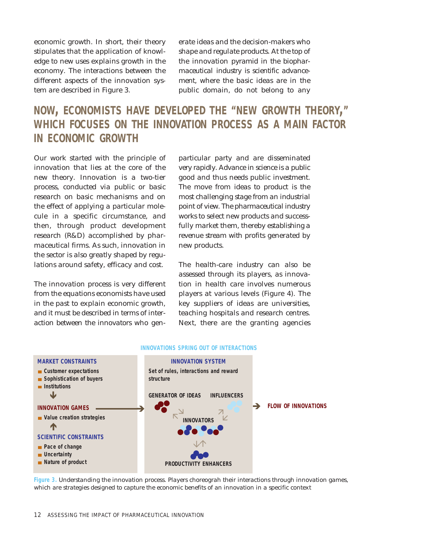economic growth. In short, their theory stipulates that the application of knowledge to new uses explains growth in the economy. The interactions between the different aspects of the innovation system are described in Figure 3.

erate ideas and the decision-makers who shape and regulate products. At the top of the innovation pyramid in the biopharmaceutical industry is scientific advancement, where the basic ideas are in the public domain, do not belong to any

## **NOW, ECONOMISTS HAVE DEVELOPED THE "NEW GROWTH THEORY," WHICH FOCUSES ON THE INNOVATION PROCESS AS A MAIN FACTOR IN ECONOMIC GROWTH**

Our work started with the principle of innovation that lies at the core of the new theory. Innovation is a two-tier process, conducted via public or basic research on basic mechanisms and on the effect of applying a particular molecule in a specific circumstance, and then, through product development research (R&D) accomplished by pharmaceutical firms. As such, innovation in the sector is also greatly shaped by regulations around safety, efficacy and cost.

The innovation process is very different from the equations economists have used in the past to explain economic growth, and it must be described in terms of interaction between the innovators who genparticular party and are disseminated very rapidly. Advance in science is a public good and thus needs public investment. The move from ideas to product is the most challenging stage from an industrial point of view. The pharmaceutical industry works to select new products and successfully market them, thereby establishing a revenue stream with profits generated by new products.

The health-care industry can also be assessed through its players, as innovation in health care involves numerous players at various levels (Figure 4). The key suppliers of ideas are universities, teaching hospitals and research centres. Next, there are the granting agencies



#### **INNOVATIONS SPRING OUT OF INTERACTIONS**

**Figure 3.** Understanding the innovation process. Players choreograh their interactions through innovation games, which are strategies designed to capture the economic benefits of an innovation in a specific context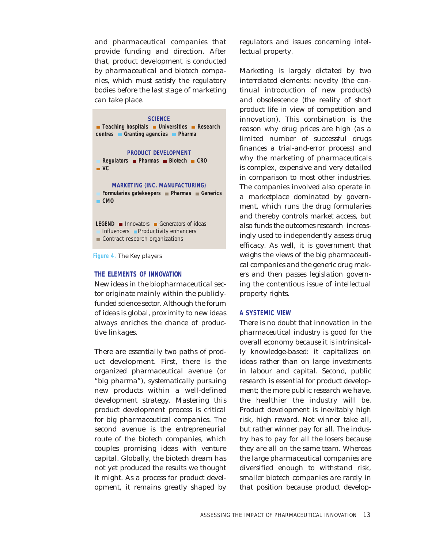and pharmaceutical companies that provide funding and direction. After that, product development is conducted by pharmaceutical and biotech companies, which must satisfy the regulatory bodies before the last stage of marketing can take place.

| <b>SCIENCE</b><br>Teaching hospitals Universities Research<br>centres Granting agencies Pharma                               |
|------------------------------------------------------------------------------------------------------------------------------|
| <b>PRODUCT DEVELOPMENT</b><br>Regulators <b>Pharmas</b> Biotech CRO<br>$\blacksquare$ VC.                                    |
| <b>MARKETING (INC. MANUFACTURING)</b><br>Formularies gatekeepers <b>■ Pharmas ■ Generics</b><br>$-$ CMO                      |
| <b>LEGEND Innovators Generators</b> of ideas<br>Influencers <b>Productivity enhancers</b><br>Contract research organizations |
|                                                                                                                              |

**Figure 4.** The Key players

#### **THE ELEMENTS OF INNOVATION**

New ideas in the biopharmaceutical sector originate mainly within the publiclyfunded science sector. Although the forum of ideas is global, proximity to new ideas always enriches the chance of productive linkages.

There are essentially two paths of product development. First, there is the organized pharmaceutical avenue (or "big pharma"), systematically pursuing new products within a well-defined development strategy. Mastering this product development process is critical for big pharmaceutical companies. The second avenue is the entrepreneurial route of the biotech companies, which couples promising ideas with venture capital. Globally, the biotech dream has not yet produced the results we thought it might. As a process for product development, it remains greatly shaped by

regulators and issues concerning intellectual property.

Marketing is largely dictated by two interrelated elements: novelty (the continual introduction of new products) and obsolescence (the reality of short product life in view of competition and innovation). This combination is the reason why drug prices are high (as a limited number of successful drugs finances a trial-and-error process) and why the marketing of pharmaceuticals is complex, expensive and very detailed in comparison to most other industries. The companies involved also operate in a marketplace dominated by government, which runs the drug formularies and thereby controls market access, but also funds the outcomes research increasingly used to independently assess drug efficacy. As well, it is government that weighs the views of the big pharmaceutical companies and the generic drug makers and then passes legislation governing the contentious issue of intellectual property rights.

#### **A SYSTEMIC VIEW**

There is no doubt that innovation in the pharmaceutical industry is good for the overall economy because it is intrinsically knowledge-based: it capitalizes on ideas rather than on large investments in labour and capital. Second, public research is essential for product development; the more public research we have, the healthier the industry will be. Product development is inevitably high risk, high reward. Not winner take all, but rather winner pay for all. The industry has to pay for all the losers because they are all on the same team. Whereas the large pharmaceutical companies are diversified enough to withstand risk, smaller biotech companies are rarely in that position because product develop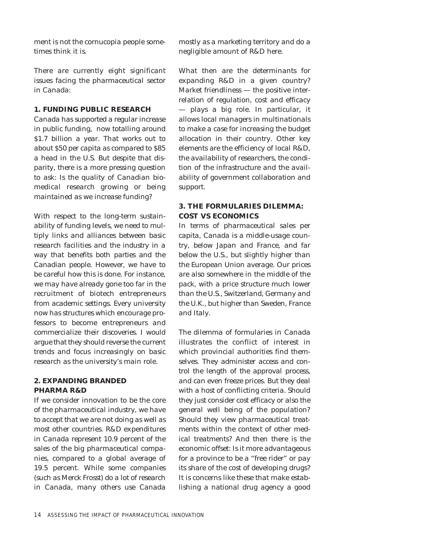ment is not the cornucopia people sometimes think it is.

There are currently eight significant issues facing the pharmaceutical sector in Canada:

#### **1. FUNDING PUBLIC RESEARCH**

Canada has supported a regular increase in public funding, now totalling around \$1.7 billion a year. That works out to about \$50 per capita as compared to \$85 a head in the U.S. But despite that disparity, there is a more pressing question to ask: Is the quality of Canadian biomedical research growing or being maintained as we increase funding?

With respect to the long-term sustainability of funding levels, we need to multiply links and alliances between basic research facilities and the industry in a way that benefits both parties and the Canadian people. However, we have to be careful how this is done. For instance, we may have already gone too far in the recruitment of biotech entrepreneurs from academic settings. Every university now has structures which encourage professors to become entrepreneurs and commercialize their discoveries. I would argue that they should reverse the current trends and focus increasingly on basic research as the university's main role.

#### **2. EXPANDING BRANDED PHARMA R&D**

If we consider innovation to be the core of the pharmaceutical industry, we have to accept that we are not doing as well as most other countries. R&D expenditures in Canada represent 10.9 percent of the sales of the big pharmaceutical companies, compared to a global average of 19.5 percent. While some companies (such as Merck Frosst) do a lot of research in Canada, many others use Canada

mostly as a marketing territory and do a negligible amount of R&D here.

What then are the determinants for expanding R&D in a given country? Market friendliness — the positive interrelation of regulation, cost and efficacy — plays a big role. In particular, it allows local managers in multinationals to make a case for increasing the budget allocation in their country. Other key elements are the efficiency of local R&D, the availability of researchers, the condition of the infrastructure and the availability of government collaboration and support.

#### **3. THE FORMULARIES DILEMMA: COST VS ECONOMICS**

In terms of pharmaceutical sales per capita, Canada is a middle-usage country, below Japan and France, and far below the U.S., but slightly higher than the European Union average. Our prices are also somewhere in the middle of the pack, with a price structure much lower than the U.S., Switzerland, Germany and the U.K., but higher than Sweden, France and Italy.

The dilemma of formularies in Canada illustrates the conflict of interest in which provincial authorities find themselves. They administer access and control the length of the approval process, and can even freeze prices. But they deal with a host of conflicting criteria. Should they just consider cost efficacy or also the general well being of the population? Should they view pharmaceutical treatments within the context of other medical treatments? And then there is the economic offset: Is it more advantageous for a province to be a "free rider" or pay its share of the cost of developing drugs? It is concerns like these that make establishing a national drug agency a good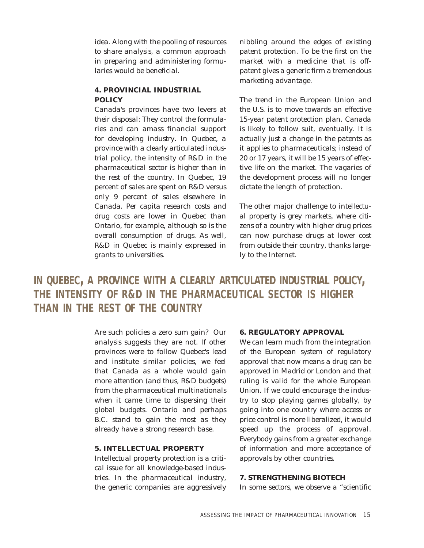idea. Along with the pooling of resources to share analysis, a common approach in preparing and administering formularies would be beneficial.

#### **4. PROVINCIAL INDUSTRIAL POLICY**

Canada's provinces have two levers at their disposal: They control the formularies and can amass financial support for developing industry. In Quebec, a province with a clearly articulated industrial policy, the intensity of R&D in the pharmaceutical sector is higher than in the rest of the country. In Quebec, 19 percent of sales are spent on R&D versus only 9 percent of sales elsewhere in Canada. Per capita research costs and drug costs are lower in Quebec than Ontario, for example, although so is the overall consumption of drugs. As well, R&D in Quebec is mainly expressed in grants to universities.

nibbling around the edges of existing patent protection. To be the first on the market with a medicine that is offpatent gives a generic firm a tremendous marketing advantage.

The trend in the European Union and the U.S. is to move towards an effective 15-year patent protection plan. Canada is likely to follow suit, eventually. It is actually just a change in the patents as it applies to pharmaceuticals; instead of 20 or 17 years, it will be 15 years of effective life on the market. The vagaries of the development process will no longer dictate the length of protection.

The other major challenge to intellectual property is grey markets, where citizens of a country with higher drug prices can now purchase drugs at lower cost from outside their country, thanks largely to the Internet.

**IN QUEBEC, A PROVINCE WITH A CLEARLY ARTICULATED INDUSTRIAL POLICY, THE INTENSITY OF R&D IN THE PHARMACEUTICAL SECTOR IS HIGHER THAN IN THE REST OF THE COUNTRY**

> Are such policies a zero sum gain? Our analysis suggests they are not. If other provinces were to follow Quebec's lead and institute similar policies, we feel that Canada as a whole would gain more attention (and thus, R&D budgets) from the pharmaceutical multinationals when it came time to dispersing their global budgets. Ontario and perhaps B.C. stand to gain the most as they already have a strong research base.

#### **5. INTELLECTUAL PROPERTY**

Intellectual property protection is a critical issue for all knowledge-based industries. In the pharmaceutical industry, the generic companies are aggressively

#### **6. REGULATORY APPROVAL**

We can learn much from the integration of the European system of regulatory approval that now means a drug can be approved in Madrid or London and that ruling is valid for the whole European Union. If we could encourage the industry to stop playing games globally, by going into one country where access or price control is more liberalized, it would speed up the process of approval. Everybody gains from a greater exchange of information and more acceptance of approvals by other countries.

#### **7. STRENGTHENING BIOTECH**

In some sectors, we observe a "scientific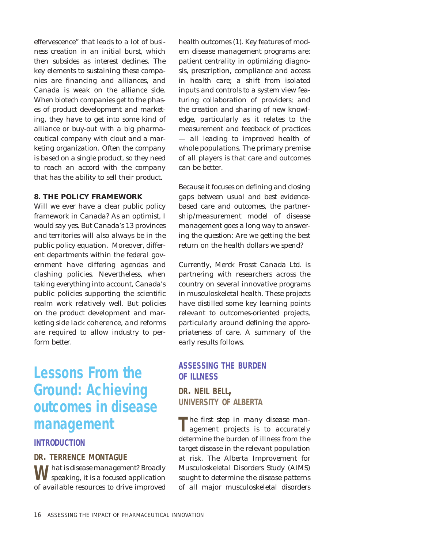effervescence" that leads to a lot of business creation in an initial burst, which then subsides as interest declines. The key elements to sustaining these companies are financing and alliances, and Canada is weak on the alliance side. When biotech companies get to the phases of product development and marketing, they have to get into some kind of alliance or buy-out with a big pharmaceutical company with clout and a marketing organization. Often the company is based on a single product, so they need to reach an accord with the company that has the ability to sell their product.

#### **8. THE POLICY FRAMEWORK**

Will we ever have a clear public policy framework in Canada? As an optimist, I would say yes. But Canada's 13 provinces and territories will also always be in the public policy equation. Moreover, different departments within the federal government have differing agendas and clashing policies. Nevertheless, when taking everything into account, Canada's public policies supporting the scientific realm work relatively well. But policies on the product development and marketing side lack coherence, and reforms are required to allow industry to perform better.

## **Lessons From the Ground: Achieving outcomes in disease management**

#### **INTRODUCTION**

#### **DR. TERRENCE MONTAGUE**

**W** hat is disease management? Broadly speaking, it is a focused application of available resources to drive improved health outcomes (1). Key features of modern disease management programs are: patient centrality in optimizing diagnosis, prescription, compliance and access in health care; a shift from isolated inputs and controls to a system view featuring collaboration of providers; and the creation and sharing of new knowledge, particularly as it relates to the measurement and feedback of practices — all leading to improved health of whole populations. The primary premise of all players is that care and outcomes can be better.

Because it focuses on defining and closing gaps between usual and best evidencebased care and outcomes, the partnership/measurement model of disease management goes a long way to answering the question: Are we getting the best return on the health dollars we spend?

Currently, Merck Frosst Canada Ltd. is partnering with researchers across the country on several innovative programs in musculoskeletal health. These projects have distilled some key learning points relevant to outcomes-oriented projects, particularly around defining the appropriateness of care. A summary of the early results follows.

#### **ASSESSING THE BURDEN OF ILLNESS**

**DR. NEIL BELL, UNIVERSITY OF ALBERTA**

**T**he first step in many disease man-agement projects is to accurately determine the burden of illness from the target disease in the relevant population at risk. The Alberta Improvement for Musculoskeletal Disorders Study (AIMS) sought to determine the disease patterns of all major musculoskeletal disorders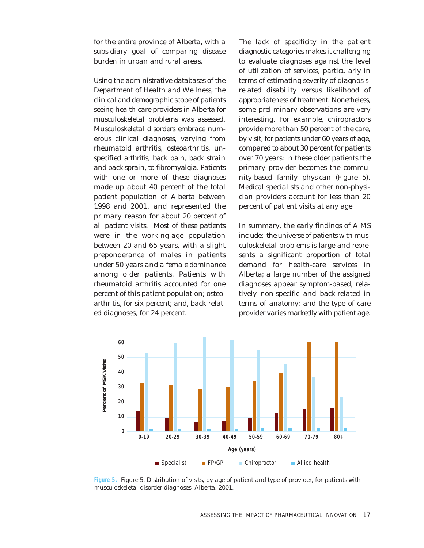for the entire province of Alberta, with a subsidiary goal of comparing disease burden in urban and rural areas.

Using the administrative databases of the Department of Health and Wellness, the clinical and demographic scope of patients seeing health-care providers in Alberta for musculoskeletal problems was assessed. Musculoskeletal disorders embrace numerous clinical diagnoses, varying from rheumatoid arthritis, osteoarthritis, unspecified arthritis, back pain, back strain and back sprain, to fibromyalgia. Patients with one or more of these diagnoses made up about 40 percent of the total patient population of Alberta between 1998 and 2001, and represented the primary reason for about 20 percent of all patient visits. Most of these patients were in the working-age population between 20 and 65 years, with a slight preponderance of males in patients under 50 years and a female dominance among older patients. Patients with rheumatoid arthritis accounted for one percent of this patient population; osteoarthritis, for six percent; and, back-related diagnoses, for 24 percent.

The lack of specificity in the patient diagnostic categories makes it challenging to evaluate diagnoses against the level of utilization of services, particularly in terms of estimating severity of diagnosisrelated disability versus likelihood of appropriateness of treatment. Nonetheless, some preliminary observations are very interesting. For example, chiropractors provide more than 50 percent of the care, by visit, for patients under 60 years of age, compared to about 30 percent for patients over 70 years; in these older patients the primary provider becomes the community-based family physican (Figure 5). Medical specialists and other non-physician providers account for less than 20 percent of patient visits at any age.

In summary, the early findings of AIMS include: the universe of patients with musculoskeletal problems is large and represents a significant proportion of total demand for health-care services in Alberta; a large number of the assigned diagnoses appear symptom-based, relatively non-specific and back-related in terms of anatomy; and the type of care provider varies markedly with patient age.



**Figure 5.** Figure 5. Distribution of visits, by age of patient and type of provider, for patients with musculoskeletal disorder diagnoses, Alberta, 2001.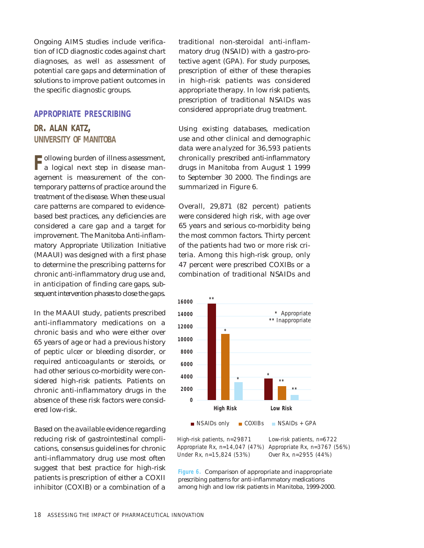Ongoing AIMS studies include verification of ICD diagnostic codes against chart diagnoses, as well as assessment of potential care gaps and determination of solutions to improve patient outcomes in the specific diagnostic groups.

#### **APPROPRIATE PRESCRIBING**

#### **DR. ALAN KATZ, UNIVERSITY OF MANITOBA**

**F** ollowing burden of illness assessment,<br>a logical next step in disease management is measurement of the contemporary patterns of practice around the treatment of the disease. When these usual care patterns are compared to evidencebased best practices, any deficiencies are considered a care gap and a target for improvement. The Manitoba Anti-inflammatory Appropriate Utilization Initiative (MAAUI) was designed with a first phase to determine the prescribing patterns for chronic anti-inflammatory drug use and, in anticipation of finding care gaps, subsequent intervention phases to close the gaps.

In the MAAUI study, patients prescribed anti-inflammatory medications on a chronic basis and who were either over 65 years of age or had a previous history of peptic ulcer or bleeding disorder, or required anticoagulants or steroids, or had other serious co-morbidity were considered high-risk patients. Patients on chronic anti-inflammatory drugs in the absence of these risk factors were considered low-risk.

Based on the available evidence regarding reducing risk of gastrointestinal complications, consensus guidelines for chronic anti-inflammatory drug use most often suggest that best practice for high-risk patients is prescription of either a COXII inhibitor (COXIB) or a combination of a

traditional non-steroidal anti-inflammatory drug (NSAID) with a gastro-protective agent (GPA). For study purposes, prescription of either of these therapies in high-risk patients was considered appropriate therapy. In low risk patients, prescription of traditional NSAIDs was considered appropriate drug treatment.

Using existing databases, medication use and other clinical and demographic data were analyzed for 36,593 patients chronically prescribed anti-inflammatory drugs in Manitoba from August 1 1999 to September 30 2000. The findings are summarized in Figure 6.

Overall, 29,871 (82 percent) patients were considered high risk, with age over 65 years and serious co-morbidity being the most common factors. Thirty percent of the patients had two or more risk criteria. Among this high-risk group, only 47 percent were prescribed COXIBs or a combination of traditional NSAIDs and



High-risk patients, n=29871 Low-risk patients, n=6722 Appropriate Rx, n=14,047 (47%) Appropriate Rx, n=3767 (56%) Under Rx, n=15,824 (53%) Over Rx, n=2955 (44%)

**Figure 6.** Comparison of appropriate and inappropriate prescribing patterns for anti-inflammatory medications among high and low risk patients in Manitoba, 1999-2000.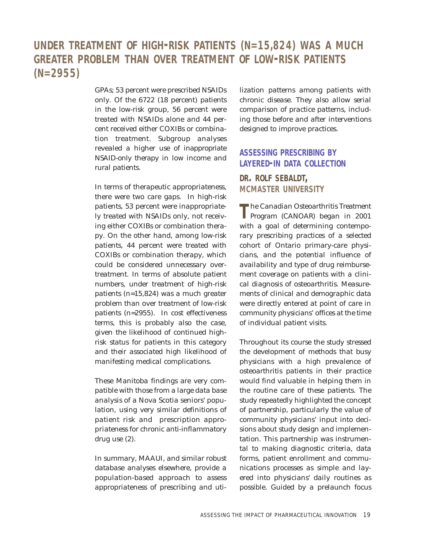## **UNDER TREATMENT OF HIGH-RISK PATIENTS (N=15,824) WAS A MUCH GREATER PROBLEM THAN OVER TREATMENT OF LOW-RISK PATIENTS (N=2955)**

GPAs; 53 percent were prescribed NSAIDs only. Of the 6722 (18 percent) patients in the low-risk group, 56 percent were treated with NSAIDs alone and 44 percent received either COXIBs or combination treatment. Subgroup analyses revealed a higher use of inappropriate NSAID-only therapy in low income and rural patients.

In terms of therapeutic appropriateness, there were two care gaps. In high-risk patients, 53 percent were inappropriately treated with NSAIDs only, not receiving either COXIBs or combination therapy. On the other hand, among low-risk patients, 44 percent were treated with COXIBs or combination therapy, which could be considered unnecessary overtreatment. In terms of absolute patient numbers, under treatment of high-risk patients (n=15,824) was a much greater problem than over treatment of low-risk patients (n=2955). In cost effectiveness terms, this is probably also the case, given the likelihood of continued highrisk status for patients in this category and their associated high likelihood of manifesting medical complications.

These Manitoba findings are very compatible with those from a large data base analysis of a Nova Scotia seniors' population, using very similar definitions of patient risk and prescription appropriateness for chronic anti-inflammatory drug use (2).

In summary, MAAUI, and similar robust database analyses elsewhere, provide a population-based approach to assess appropriateness of prescribing and utilization patterns among patients with chronic disease. They also allow serial comparison of practice patterns, including those before and after interventions designed to improve practices.

### **ASSESSING PRESCRIBING BY LAYERED-IN DATA COLLECTION**

# **DR. ROLF SEBALDT, MCMASTER UNIVERSITY**

**T**he Canadian Osteoarthritis Treatment Program (CANOAR) began in 2001 with a goal of determining contemporary prescribing practices of a selected cohort of Ontario primary-care physicians, and the potential influence of availability and type of drug reimbursement coverage on patients with a clinical diagnosis of osteoarthritis. Measurements of clinical and demographic data were directly entered at point of care in community physicians' offices at the time of individual patient visits.

Throughout its course the study stressed the development of methods that busy physicians with a high prevalence of osteoarthritis patients in their practice would find valuable in helping them in the routine care of these patients. The study repeatedly highlighted the concept of partnership, particularly the value of community physicians' input into decisions about study design and implementation. This partnership was instrumental to making diagnostic criteria, data forms, patient enrollment and communications processes as simple and layered into physicians' daily routines as possible. Guided by a prelaunch focus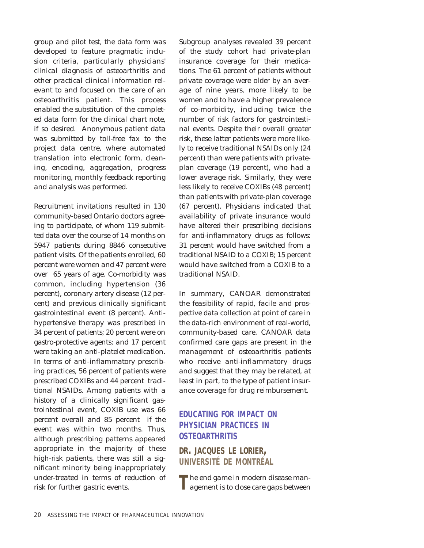group and pilot test, the data form was developed to feature pragmatic inclusion criteria, particularly physicians' clinical diagnosis of osteoarthritis and other practical clinical information relevant to and focused on the care of an osteoarthritis patient. This process enabled the substitution of the completed data form for the clinical chart note, if so desired. Anonymous patient data was submitted by toll-free fax to the project data centre, where automated translation into electronic form, cleaning, encoding, aggregation, progress monitoring, monthly feedback reporting and analysis was performed.

Recruitment invitations resulted in 130 community-based Ontario doctors agreeing to participate, of whom 119 submitted data over the course of 14 months on 5947 patients during 8846 consecutive patient visits. Of the patients enrolled, 60 percent were women and 47 percent were over 65 years of age. Co-morbidity was common, including hypertension (36 percent), coronary artery disease (12 percent) and previous clinically significant gastrointestinal event (8 percent). Antihypertensive therapy was prescribed in 34 percent of patients; 20 percent were on gastro-protective agents; and 17 percent were taking an anti-platelet medication. In terms of anti-inflammatory prescribing practices, 56 percent of patients were prescribed COXIBs and 44 percent traditional NSAIDs. Among patients with a history of a clinically significant gastrointestinal event, COXIB use was 66 percent overall and 85 percent if the event was within two months. Thus, although prescribing patterns appeared appropriate in the majority of these high-risk patients, there was still a significant minority being inappropriately under-treated in terms of reduction of risk for further gastric events.

Subgroup analyses revealed 39 percent of the study cohort had private-plan insurance coverage for their medications. The 61 percent of patients without private coverage were older by an average of nine years, more likely to be women and to have a higher prevalence of co-morbidity, including twice the number of risk factors for gastrointestinal events. Despite their overall greater risk, these latter patients were more likely to receive traditional NSAIDs only (24 percent) than were patients with privateplan coverage (19 percent), who had a lower average risk. Similarly, they were less likely to receive COXIBs (48 percent) than patients with private-plan coverage (67 percent). Physicians indicated that availability of private insurance would have altered their prescribing decisions for anti-inflammatory drugs as follows: 31 percent would have switched from a traditional NSAID to a COXIB; 15 percent would have switched from a COXIB to a traditional NSAID.

In summary, CANOAR demonstrated the feasibility of rapid, facile and prospective data collection at point of care in the data-rich environment of real-world, community-based care. CANOAR data confirmed care gaps are present in the management of osteoarthritis patients who receive anti-inflammatory drugs and suggest that they may be related, at least in part, to the type of patient insurance coverage for drug reimbursement.

### **EDUCATING FOR IMPACT ON PHYSICIAN PRACTICES IN OSTEOARTHRITIS**

**DR. JACQUES LE LORIER, UNIVERSITÉ DE MONTRÉAL**

**T**he end game in modern disease man-agement is to close care gaps between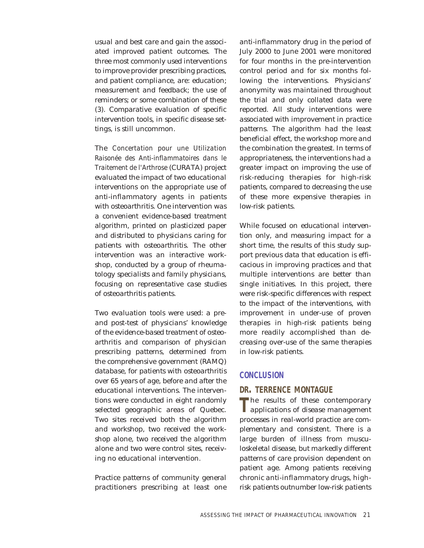usual and best care and gain the associated improved patient outcomes. The three most commonly used interventions to improve provider prescribing practices, and patient compliance, are: education; measurement and feedback; the use of reminders; or some combination of these (3). Comparative evaluation of specific intervention tools, in specific disease settings, is still uncommon.

The *Concertation pour une Utilization Raisonée des Anti-inflammatoires dans le Traitement de l'Arthrose* (CURATA) project evaluated the impact of two educational interventions on the appropriate use of anti-inflammatory agents in patients with osteoarthritis. One intervention was a convenient evidence-based treatment algorithm, printed on plasticized paper and distributed to physicians caring for patients with osteoarthritis. The other intervention was an interactive workshop, conducted by a group of rheumatology specialists and family physicians, focusing on representative case studies of osteoarthritis patients.

Two evaluation tools were used: a preand post-test of physicians' knowledge of the evidence-based treatment of osteoarthritis and comparison of physician prescribing patterns, determined from the comprehensive government (RAMQ) database, for patients with osteoarthritis over 65 years of age, before and after the educational interventions. The interventions were conducted in eight randomly selected geographic areas of Quebec. Two sites received both the algorithm and workshop, two received the workshop alone, two received the algorithm alone and two were control sites, receiving no educational intervention.

Practice patterns of community general practitioners prescribing at least one

anti-inflammatory drug in the period of July 2000 to June 2001 were monitored for four months in the pre-intervention control period and for six months following the interventions. Physicians' anonymity was maintained throughout the trial and only collated data were reported. All study interventions were associated with improvement in practice patterns. The algorithm had the least beneficial effect, the workshop more and the combination the greatest. In terms of appropriateness, the interventions had a greater impact on improving the use of risk-reducing therapies for high-risk patients, compared to decreasing the use of these more expensive therapies in low-risk patients.

While focused on educational intervention only, and measuring impact for a short time, the results of this study support previous data that education is efficacious in improving practices and that multiple interventions are better than single initiatives. In this project, there were risk-specific differences with respect to the impact of the interventions, with improvement in under-use of proven therapies in high-risk patients being more readily accomplished than decreasing over-use of the same therapies in low-risk patients.

#### **CONCLUSION**

#### **DR. TERRENCE MONTAGUE**

The results of these contemporary<br>
applications of disease management processes in real-world practice are complementary and consistent. There is a large burden of illness from musculoskeletal disease, but markedly different patterns of care provision dependent on patient age. Among patients receiving chronic anti-inflammatory drugs, highrisk patients outnumber low-risk patients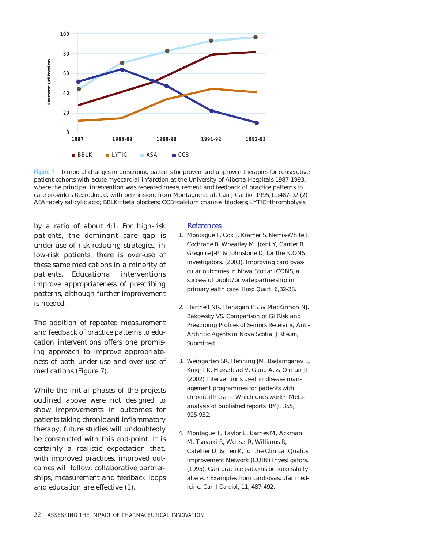

**Figure 7.** Temporal changes in prescribing patterns for proven and unproven therapies for consecutive patient cohorts with acute myocardial infarction at the University of Alberta Hospitals 1987-1993, where the principal intervention was repeated measurement and feedback of practice patterns to care providers Reproduced, with permission, from Montague et al, *Can J Cardiol* 1995;11:487-92 (2). ASA=acetylsalicylic acid; BBLK= beta blockers; CCB=calcium channel blockers; LYTIC=thrombolysis.

by a ratio of about 4:1. For high-risk patients, the dominant care gap is under-use of risk-reducing strategies; in low-risk patients, there is over-use of these same medications in a minority of patients. Educational interventions improve appropriateness of prescribing patterns, although further improvement is needed.

The addition of repeated measurement and feedback of practice patterns to education interventions offers one promising approach to improve appropriateness of both under-use and over-use of medications (Figure 7).

While the initial phases of the projects outlined above were not designed to show improvements in outcomes for patients taking chronic anti-inflammatory therapy, future studies will undoubtedly be constructed with this end-point. It is certainly a realistic expectation that, with improved practices, improved outcomes will follow; collaborative partnerships, measurement and feedback loops and education are effective (1).

#### References

- 1. Montague T, Cox J, Kramer S, Nemis-White J, Cochrane B, Wheatley M, Joshi Y, Carrier R, Gregoire J-P, & Johnstone D, for the ICONS investigators. (2003). Improving cardiovascular outcomes in Nova Scotia: ICONS, a successful public/private partnership in primary ealth care. *Hosp Quart, 6,*32-38.
- 2. Hartnell NR, Flanagan PS, & MacKinnon NJ. Bakowsky VS. Comparison of GI Risk and Prescribing Profiles of Seniors Receiving Anti-Arthritic Agents in Nova Scotia. *J Rheum,* Submitted.
- 3. Weingarten SR, Henning JM, Badamgarav E, Knight K, Hasselblad V, Gano A, & Ofman JJ. (2002) Interventions used in disease management programmes for patients with chronic illness — Which ones work? Metaanalysis of published reports. *BMJ*, 355, 925-932.
- 4. Montague T, Taylor L, Barnes M, Ackman M, Tsuyuki R, Wensel R, Williams R, Catellier D, & Teo K, for the Clinical Quality Improvement Network (CQIN) Investigators. (1995). Can practice patterns be successfully altered? Examples from cardiovascular medicine. *Can J Cardiol*, 11, 487-492.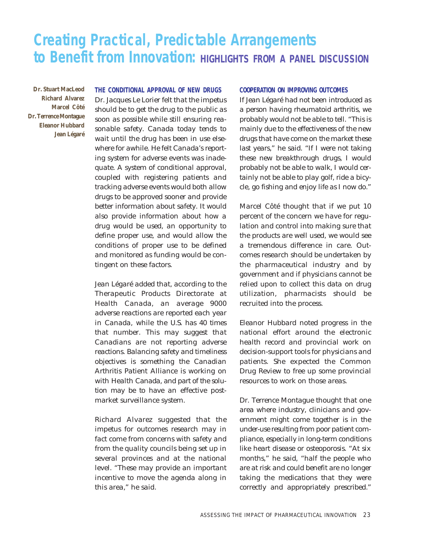## **Creating Practical, Predictable Arrangements to Benefit from Innovation: HIGHLIGHTS FROM <sup>A</sup> PANEL DISCUSSION**

**Dr. Stuart MacLeod Richard Alvarez Marcel Côté Dr. Terrence Montague Eleanor Hubbard Jean Légaré**

#### **THE CONDITIONAL APPROVAL OF NEW DRUGS**

Dr. Jacques Le Lorier felt that the impetus should be to get the drug to the public as soon as possible while still ensuring reasonable safety. Canada today tends to wait until the drug has been in use elsewhere for awhile. He felt Canada's reporting system for adverse events was inadequate. A system of conditional approval, coupled with registering patients and tracking adverse events would both allow drugs to be approved sooner and provide better information about safety. It would also provide information about how a drug would be used, an opportunity to define proper use, and would allow the conditions of proper use to be defined and monitored as funding would be contingent on these factors.

Jean Légaré added that, according to the Therapeutic Products Directorate at Health Canada, an average 9000 adverse reactions are reported each year in Canada, while the U.S. has 40 times that number. This may suggest that Canadians are not reporting adverse reactions. Balancing safety and timeliness objectives is something the Canadian Arthritis Patient Alliance is working on with Health Canada, and part of the solution may be to have an effective postmarket surveillance system.

Richard Alvarez suggested that the impetus for outcomes research may in fact come from concerns with safety and from the quality councils being set up in several provinces and at the national level. "These may provide an important incentive to move the agenda along in this area," he said.

#### **COOPERATION ON IMPROVING OUTCOMES**

If Jean Légaré had not been introduced as a person having rheumatoid arthritis, we probably would not be able to tell. "This is mainly due to the effectiveness of the new drugs that have come on the market these last years," he said. "If I were not taking these new breakthrough drugs, I would probably not be able to walk, I would certainly not be able to play golf, ride a bicycle, go fishing and enjoy life as I now do."

Marcel Côté thought that if we put 10 percent of the concern we have for regulation and control into making sure that the products are well used, we would see a tremendous difference in care. Outcomes research should be undertaken by the pharmaceutical industry and by government and if physicians cannot be relied upon to collect this data on drug utilization, pharmacists should be recruited into the process.

Eleanor Hubbard noted progress in the national effort around the electronic health record and provincial work on decision-support tools for physicians and patients. She expected the Common Drug Review to free up some provincial resources to work on those areas.

Dr. Terrence Montague thought that one area where industry, clinicians and government might come together is in the under-use resulting from poor patient compliance, especially in long-term conditions like heart disease or osteoporosis. "At six months," he said, "half the people who are at risk and could benefit are no longer taking the medications that they were correctly and appropriately prescribed."